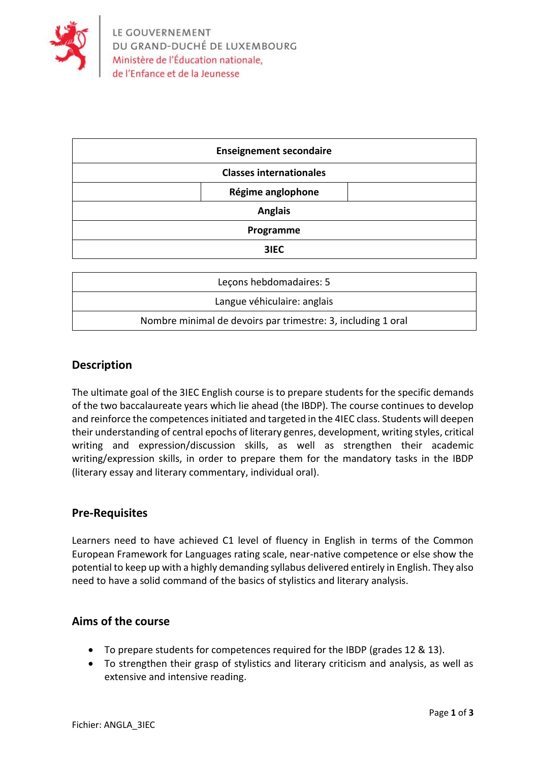

| <b>Enseignement secondaire</b> |  |
|--------------------------------|--|
| <b>Classes internationales</b> |  |
| Régime anglophone              |  |
| <b>Anglais</b>                 |  |
| Programme                      |  |
| 3IEC                           |  |

| Lecons hebdomadaires: 5                                      |  |
|--------------------------------------------------------------|--|
| Langue véhiculaire: anglais                                  |  |
| Nombre minimal de devoirs par trimestre: 3, including 1 oral |  |

## **Description**

The ultimate goal of the 3IEC English course is to prepare students for the specific demands of the two baccalaureate years which lie ahead (the IBDP). The course continues to develop and reinforce the competences initiated and targeted in the 4IEC class. Students will deepen their understanding of central epochs of literary genres, development, writing styles, critical writing and expression/discussion skills, as well as strengthen their academic writing/expression skills, in order to prepare them for the mandatory tasks in the IBDP (literary essay and literary commentary, individual oral).

### **Pre-Requisites**

Learners need to have achieved C1 level of fluency in English in terms of the Common European Framework for Languages rating scale, near-native competence or else show the potential to keep up with a highly demanding syllabus delivered entirely in English. They also need to have a solid command of the basics of stylistics and literary analysis.

## **Aims of the course**

- To prepare students for competences required for the IBDP (grades 12 & 13).
- To strengthen their grasp of stylistics and literary criticism and analysis, as well as extensive and intensive reading.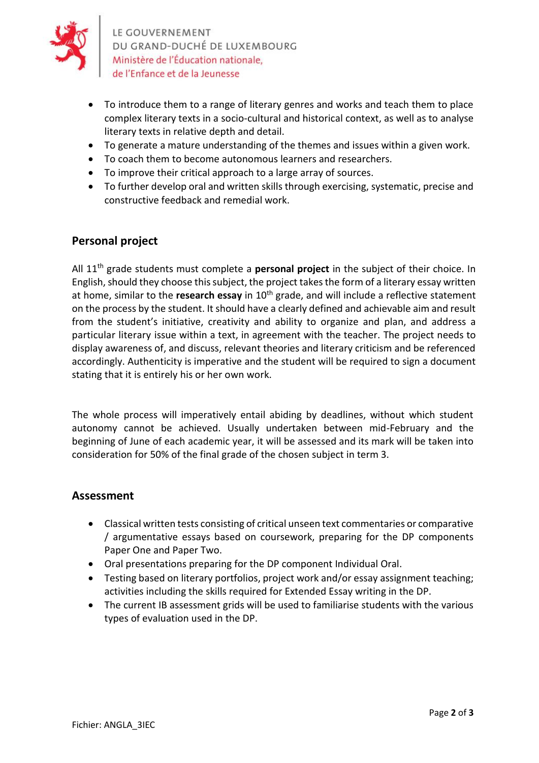

LE GOUVERNEMENT DU GRAND-DUCHÉ DE LUXEMBOURG Ministère de l'Éducation nationale, de l'Enfance et de la Jeunesse

- To introduce them to a range of literary genres and works and teach them to place complex literary texts in a socio-cultural and historical context, as well as to analyse literary texts in relative depth and detail.
- To generate a mature understanding of the themes and issues within a given work.
- To coach them to become autonomous learners and researchers.
- To improve their critical approach to a large array of sources.
- To further develop oral and written skills through exercising, systematic, precise and constructive feedback and remedial work.

# **Personal project**

All 11th grade students must complete a **personal project** in the subject of their choice. In English, should they choose this subject, the project takes the form of a literary essay written at home, similar to the **research essay** in 10<sup>th</sup> grade, and will include a reflective statement on the process by the student. It should have a clearly defined and achievable aim and result from the student's initiative, creativity and ability to organize and plan, and address a particular literary issue within a text, in agreement with the teacher. The project needs to display awareness of, and discuss, relevant theories and literary criticism and be referenced accordingly. Authenticity is imperative and the student will be required to sign a document stating that it is entirely his or her own work.

The whole process will imperatively entail abiding by deadlines, without which student autonomy cannot be achieved. Usually undertaken between mid-February and the beginning of June of each academic year, it will be assessed and its mark will be taken into consideration for 50% of the final grade of the chosen subject in term 3.

### **Assessment**

- Classical written tests consisting of critical unseen text commentaries or comparative / argumentative essays based on coursework, preparing for the DP components Paper One and Paper Two.
- Oral presentations preparing for the DP component Individual Oral.
- Testing based on literary portfolios, project work and/or essay assignment teaching; activities including the skills required for Extended Essay writing in the DP.
- The current IB assessment grids will be used to familiarise students with the various types of evaluation used in the DP.